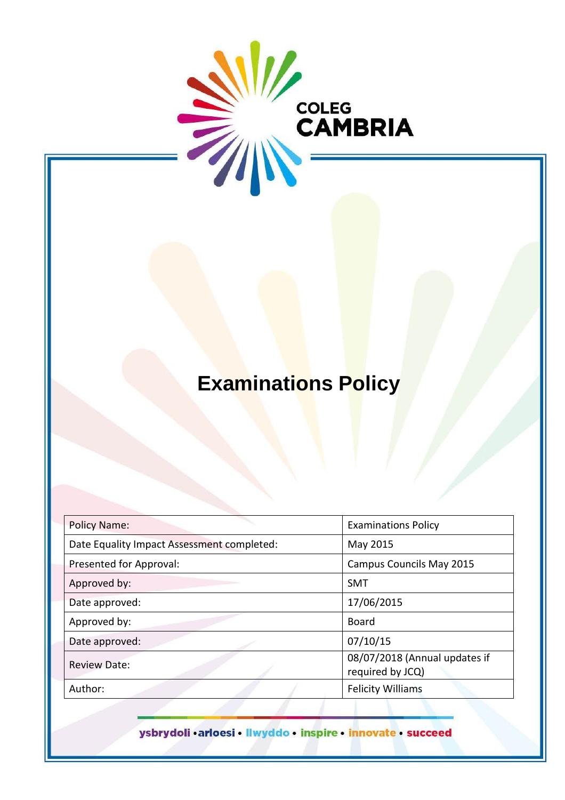

# **Examinations Policy**

| <b>Policy Name:</b>                        | <b>Examinations Policy</b>                        |
|--------------------------------------------|---------------------------------------------------|
| Date Equality Impact Assessment completed: | May 2015                                          |
| Presented for Approval:                    | <b>Campus Councils May 2015</b>                   |
| Approved by:                               | <b>SMT</b>                                        |
| Date approved:                             | 17/06/2015                                        |
| Approved by:                               | <b>Board</b>                                      |
| Date approved:                             | 07/10/15                                          |
| <b>Review Date:</b>                        | 08/07/2018 (Annual updates if<br>required by JCQ) |
| Author:                                    | <b>Felicity Williams</b>                          |

ysbrydoli · arloesi · llwyddo · inspire · innovate · succeed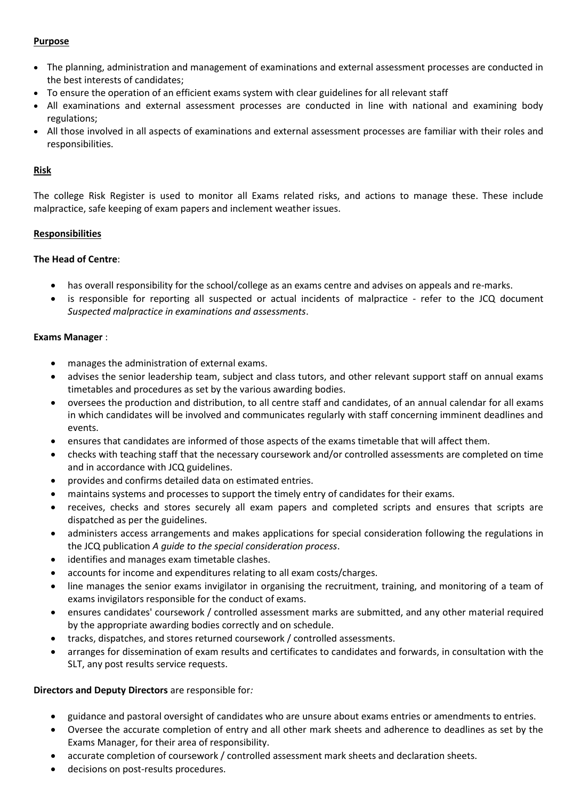# **Purpose**

- The planning, administration and management of examinations and external assessment processes are conducted in the best interests of candidates;
- To ensure the operation of an efficient exams system with clear guidelines for all relevant staff
- All examinations and external assessment processes are conducted in line with national and examining body regulations;
- All those involved in all aspects of examinations and external assessment processes are familiar with their roles and responsibilities.

# **Risk**

The college Risk Register is used to monitor all Exams related risks, and actions to manage these. These include malpractice, safe keeping of exam papers and inclement weather issues.

# **Responsibilities**

# **The Head of Centre**:

- has overall responsibility for the school/college as an exams centre and advises on appeals and re-marks.
- is responsible for reporting all suspected or actual incidents of malpractice refer to the JCQ document *Suspected malpractice in examinations and assessments*.

# **Exams Manager** :

- manages the administration of external exams.
- advises the senior leadership team, subject and class tutors, and other relevant support staff on annual exams timetables and procedures as set by the various awarding bodies.
- oversees the production and distribution, to all centre staff and candidates, of an annual calendar for all exams in which candidates will be involved and communicates regularly with staff concerning imminent deadlines and events.
- ensures that candidates are informed of those aspects of the exams timetable that will affect them.
- checks with teaching staff that the necessary coursework and/or controlled assessments are completed on time and in accordance with JCQ guidelines.
- provides and confirms detailed data on estimated entries.
- maintains systems and processes to support the timely entry of candidates for their exams.
- receives, checks and stores securely all exam papers and completed scripts and ensures that scripts are dispatched as per the guidelines.
- administers access arrangements and makes applications for special consideration following the regulations in the JCQ publication *A guide to the special consideration process*.
- identifies and manages exam timetable clashes.
- accounts for income and expenditures relating to all exam costs/charges.
- line manages the senior exams invigilator in organising the recruitment, training, and monitoring of a team of exams invigilators responsible for the conduct of exams.
- ensures candidates' coursework / controlled assessment marks are submitted, and any other material required by the appropriate awarding bodies correctly and on schedule.
- tracks, dispatches, and stores returned coursework / controlled assessments.
- arranges for dissemination of exam results and certificates to candidates and forwards, in consultation with the SLT, any post results service requests.

#### **Directors and Deputy Directors** are responsible for*:*

- guidance and pastoral oversight of candidates who are unsure about exams entries or amendments to entries.
- Oversee the accurate completion of entry and all other mark sheets and adherence to deadlines as set by the Exams Manager, for their area of responsibility.
- accurate completion of coursework / controlled assessment mark sheets and declaration sheets.
- decisions on post-results procedures.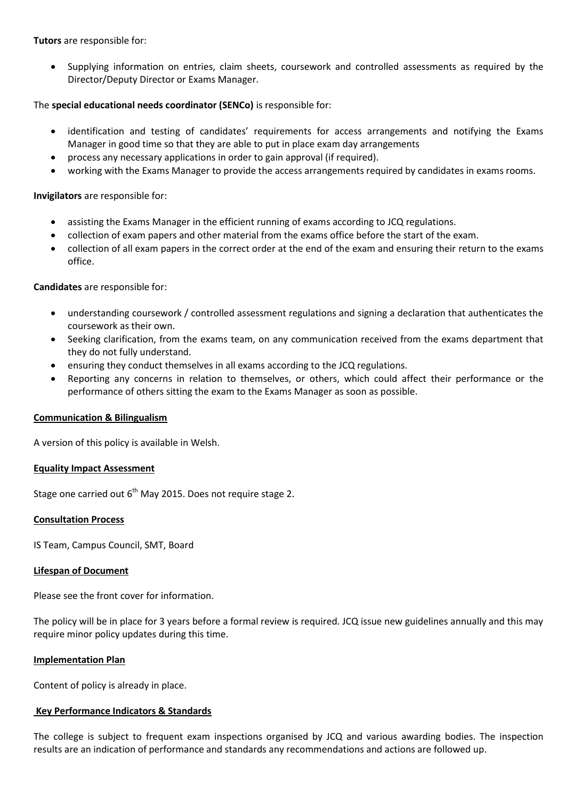**Tutors** are responsible for:

• Supplying information on entries, claim sheets, coursework and controlled assessments as required by the Director/Deputy Director or Exams Manager.

# The **special educational needs coordinator (SENCo)** is responsible for:

- identification and testing of candidates' requirements for access arrangements and notifying the Exams Manager in good time so that they are able to put in place exam day arrangements
- process any necessary applications in order to gain approval (if required).
- working with the Exams Manager to provide the access arrangements required by candidates in exams rooms.

# **Invigilators** are responsible for:

- assisting the Exams Manager in the efficient running of exams according to JCQ regulations.
- collection of exam papers and other material from the exams office before the start of the exam.
- collection of all exam papers in the correct order at the end of the exam and ensuring their return to the exams office.

# **Candidates** are responsible for:

- understanding coursework / controlled assessment regulations and signing a declaration that authenticates the coursework as their own.
- Seeking clarification, from the exams team, on any communication received from the exams department that they do not fully understand.
- ensuring they conduct themselves in all exams according to the JCQ regulations.
- Reporting any concerns in relation to themselves, or others, which could affect their performance or the performance of others sitting the exam to the Exams Manager as soon as possible.

#### **Communication & Bilingualism**

A version of this policy is available in Welsh.

#### **Equality Impact Assessment**

Stage one carried out  $6<sup>th</sup>$  May 2015. Does not require stage 2.

#### **Consultation Process**

IS Team, Campus Council, SMT, Board

#### **Lifespan of Document**

Please see the front cover for information.

The policy will be in place for 3 years before a formal review is required. JCQ issue new guidelines annually and this may require minor policy updates during this time.

#### **Implementation Plan**

Content of policy is already in place.

#### **Key Performance Indicators & Standards**

The college is subject to frequent exam inspections organised by JCQ and various awarding bodies. The inspection results are an indication of performance and standards any recommendations and actions are followed up.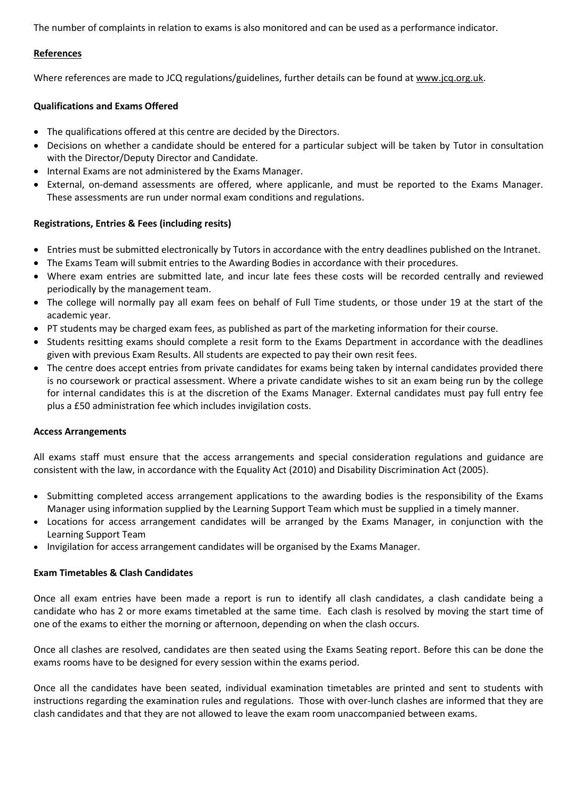The number of complaints in relation to exams is also monitored and can be used as a performance indicator.

### **References**

Where references are made to JCQ regulations/guidelines, further details can be found at [www.jcq.org.uk.](http://www.jcq.org.uk/)

# **Qualifications and Exams Offered**

- The qualifications offered at this centre are decided by the Directors.
- Decisions on whether a candidate should be entered for a particular subject will be taken by Tutor in consultation with the Director/Deputy Director and Candidate.
- Internal Exams are not administered by the Exams Manager.
- External, on-demand assessments are offered, where applicanle, and must be reported to the Exams Manager. These assessments are run under normal exam conditions and regulations.

# **Registrations, Entries & Fees (including resits)**

- Entries must be submitted electronically by Tutors in accordance with the entry deadlines published on the Intranet.
- The Exams Team will submit entries to the Awarding Bodies in accordance with their procedures.
- Where exam entries are submitted late, and incur late fees these costs will be recorded centrally and reviewed periodically by the management team.
- The college will normally pay all exam fees on behalf of Full Time students, or those under 19 at the start of the academic year.
- PT students may be charged exam fees, as published as part of the marketing information for their course.
- Students resitting exams should complete a resit form to the Exams Department in accordance with the deadlines given with previous Exam Results. All students are expected to pay their own resit fees.
- The centre does accept entries from private candidates for exams being taken by internal candidates provided there is no coursework or practical assessment. Where a private candidate wishes to sit an exam being run by the college for internal candidates this is at the discretion of the Exams Manager. External candidates must pay full entry fee plus a £50 administration fee which includes invigilation costs.

#### **Access Arrangements**

All exams staff must ensure that the access arrangements and special consideration regulations and guidance are consistent with the law, in accordance with the Equality Act (2010) and Disability Discrimination Act (2005).

- Submitting completed access arrangement applications to the awarding bodies is the responsibility of the Exams Manager using information supplied by the Learning Support Team which must be supplied in a timely manner.
- Locations for access arrangement candidates will be arranged by the Exams Manager, in conjunction with the Learning Support Team
- Invigilation for access arrangement candidates will be organised by the Exams Manager.

#### **Exam Timetables & Clash Candidates**

Once all exam entries have been made a report is run to identify all clash candidates, a clash candidate being a candidate who has 2 or more exams timetabled at the same time. Each clash is resolved by moving the start time of one of the exams to either the morning or afternoon, depending on when the clash occurs.

Once all clashes are resolved, candidates are then seated using the Exams Seating report. Before this can be done the exams rooms have to be designed for every session within the exams period.

Once all the candidates have been seated, individual examination timetables are printed and sent to students with instructions regarding the examination rules and regulations. Those with over-lunch clashes are informed that they are clash candidates and that they are not allowed to leave the exam room unaccompanied between exams.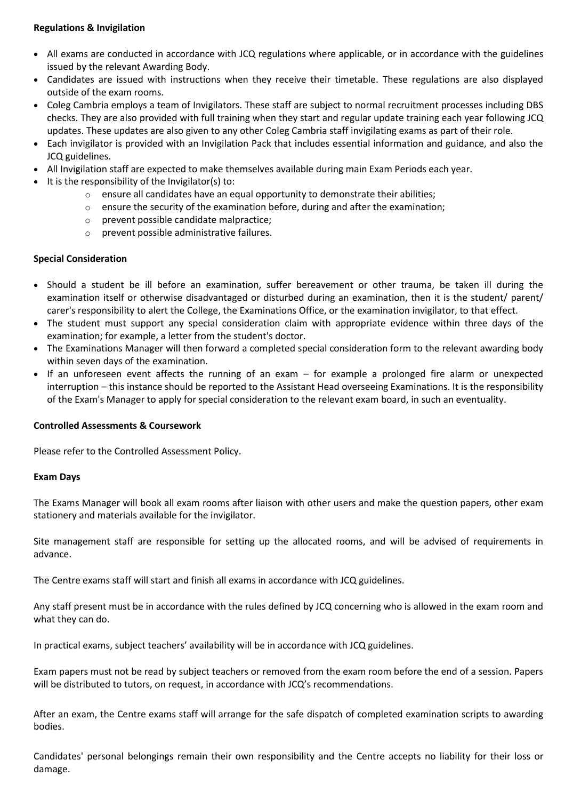# **Regulations & Invigilation**

- All exams are conducted in accordance with JCQ regulations where applicable, or in accordance with the guidelines issued by the relevant Awarding Body.
- Candidates are issued with instructions when they receive their timetable. These regulations are also displayed outside of the exam rooms.
- Coleg Cambria employs a team of Invigilators. These staff are subject to normal recruitment processes including DBS checks. They are also provided with full training when they start and regular update training each year following JCQ updates. These updates are also given to any other Coleg Cambria staff invigilating exams as part of their role.
- Each invigilator is provided with an Invigilation Pack that includes essential information and guidance, and also the JCQ guidelines.
- All Invigilation staff are expected to make themselves available during main Exam Periods each year.
- $\bullet$  It is the responsibility of the Invigilator(s) to:
	- $\circ$  ensure all candidates have an equal opportunity to demonstrate their abilities;
		- $\circ$  ensure the security of the examination before, during and after the examination;
		- o prevent possible candidate malpractice;
		- o prevent possible administrative failures.

#### **Special Consideration**

- Should a student be ill before an examination, suffer bereavement or other trauma, be taken ill during the examination itself or otherwise disadvantaged or disturbed during an examination, then it is the student/ parent/ carer's responsibility to alert the College, the Examinations Office, or the examination invigilator, to that effect.
- The student must support any special consideration claim with appropriate evidence within three days of the examination; for example, a letter from the student's doctor.
- The Examinations Manager will then forward a completed special consideration form to the relevant awarding body within seven days of the examination.
- If an unforeseen event affects the running of an exam for example a prolonged fire alarm or unexpected interruption – this instance should be reported to the Assistant Head overseeing Examinations. It is the responsibility of the Exam's Manager to apply for special consideration to the relevant exam board, in such an eventuality.

#### **Controlled Assessments & Coursework**

Please refer to the Controlled Assessment Policy.

#### **Exam Days**

The Exams Manager will book all exam rooms after liaison with other users and make the question papers, other exam stationery and materials available for the invigilator.

Site management staff are responsible for setting up the allocated rooms, and will be advised of requirements in advance.

The Centre exams staff will start and finish all exams in accordance with JCQ guidelines.

Any staff present must be in accordance with the rules defined by JCQ concerning who is allowed in the exam room and what they can do.

In practical exams, subject teachers' availability will be in accordance with JCQ guidelines.

Exam papers must not be read by subject teachers or removed from the exam room before the end of a session. Papers will be distributed to tutors, on request, in accordance with JCQ's recommendations.

After an exam, the Centre exams staff will arrange for the safe dispatch of completed examination scripts to awarding bodies.

Candidates' personal belongings remain their own responsibility and the Centre accepts no liability for their loss or damage.